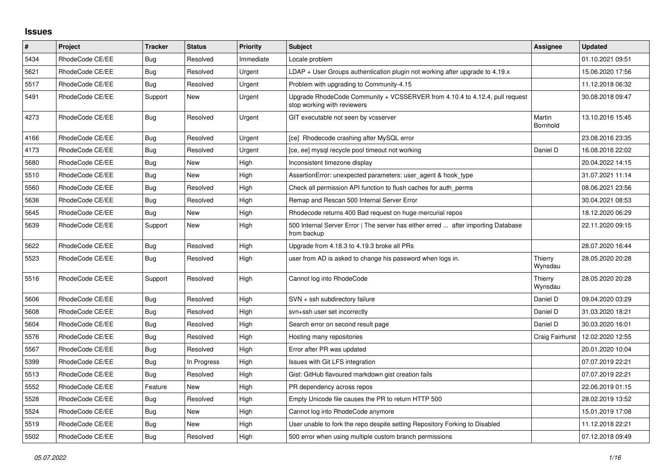## **Issues**

| #    | Project         | <b>Tracker</b> | <b>Status</b> | <b>Priority</b> | <b>Subject</b>                                                                                             | Assignee           | <b>Updated</b>   |
|------|-----------------|----------------|---------------|-----------------|------------------------------------------------------------------------------------------------------------|--------------------|------------------|
| 5434 | RhodeCode CE/EE | Bug            | Resolved      | Immediate       | Locale problem                                                                                             |                    | 01.10.2021 09:51 |
| 5621 | RhodeCode CE/EE | <b>Bug</b>     | Resolved      | Urgent          | $LDAP + User Groups$ authentication plugin not working after upgrade to 4.19. $x$                          |                    | 15.06.2020 17:56 |
| 5517 | RhodeCode CE/EE | Bug            | Resolved      | Urgent          | Problem with upgrading to Community-4.15                                                                   |                    | 11.12.2018 06:32 |
| 5491 | RhodeCode CE/EE | Support        | New           | Urgent          | Upgrade RhodeCode Community + VCSSERVER from 4.10.4 to 4.12.4, pull request<br>stop working with reviewers |                    | 30.08.2018 09:47 |
| 4273 | RhodeCode CE/EE | Bug            | Resolved      | Urgent          | GIT executable not seen by vcsserver                                                                       | Martin<br>Bornhold | 13.10.2016 15:45 |
| 4166 | RhodeCode CE/EE | Bug            | Resolved      | Urgent          | [ce] Rhodecode crashing after MySQL error                                                                  |                    | 23.08.2016 23:35 |
| 4173 | RhodeCode CE/EE | <b>Bug</b>     | Resolved      | Urgent          | [ce, ee] mysql recycle pool timeout not working                                                            | Daniel D           | 16.08.2016 22:02 |
| 5680 | RhodeCode CE/EE | <b>Bug</b>     | <b>New</b>    | High            | Inconsistent timezone display                                                                              |                    | 20.04.2022 14:15 |
| 5510 | RhodeCode CE/EE | Bug            | New           | High            | AssertionError: unexpected parameters: user_agent & hook_type                                              |                    | 31.07.2021 11:14 |
| 5560 | RhodeCode CE/EE | Bug            | Resolved      | High            | Check all permission API function to flush caches for auth perms                                           |                    | 08.06.2021 23:56 |
| 5636 | RhodeCode CE/EE | <b>Bug</b>     | Resolved      | High            | Remap and Rescan 500 Internal Server Error                                                                 |                    | 30.04.2021 08:53 |
| 5645 | RhodeCode CE/EE | Bug            | New           | High            | Rhodecode returns 400 Bad request on huge mercurial repos                                                  |                    | 18.12.2020 06:29 |
| 5639 | RhodeCode CE/EE | Support        | <b>New</b>    | High            | 500 Internal Server Error   The server has either erred  after importing Database<br>from backup           |                    | 22.11.2020 09:15 |
| 5622 | RhodeCode CE/EE | Bug            | Resolved      | High            | Upgrade from 4.18.3 to 4.19.3 broke all PRs                                                                |                    | 28.07.2020 16:44 |
| 5523 | RhodeCode CE/EE | Bug            | Resolved      | High            | user from AD is asked to change his password when logs in.                                                 | Thierry<br>Wynsdau | 28.05.2020 20:28 |
| 5516 | RhodeCode CE/EE | Support        | Resolved      | High            | Cannot log into RhodeCode                                                                                  | Thierry<br>Wynsdau | 28.05.2020 20:28 |
| 5606 | RhodeCode CE/EE | Bug            | Resolved      | High            | SVN + ssh subdirectory failure                                                                             | Daniel D           | 09.04.2020 03:29 |
| 5608 | RhodeCode CE/EE | Bug            | Resolved      | High            | svn+ssh user set incorrectly                                                                               | Daniel D           | 31.03.2020 18:21 |
| 5604 | RhodeCode CE/EE | <b>Bug</b>     | Resolved      | High            | Search error on second result page                                                                         | Daniel D           | 30.03.2020 16:01 |
| 5576 | RhodeCode CE/EE | Bug            | Resolved      | High            | Hosting many repositories                                                                                  | Craig Fairhurst    | 12.02.2020 12:55 |
| 5567 | RhodeCode CE/EE | <b>Bug</b>     | Resolved      | High            | Error after PR was updated                                                                                 |                    | 20.01.2020 10:04 |
| 5399 | RhodeCode CE/EE | Bug            | In Progress   | High            | Issues with Git LFS integration                                                                            |                    | 07.07.2019 22:21 |
| 5513 | RhodeCode CE/EE | Bug            | Resolved      | High            | Gist: GitHub flavoured markdown gist creation fails                                                        |                    | 07.07.2019 22:21 |
| 5552 | RhodeCode CE/EE | Feature        | <b>New</b>    | High            | PR dependency across repos                                                                                 |                    | 22.06.2019 01:15 |
| 5528 | RhodeCode CE/EE | Bug            | Resolved      | High            | Empty Unicode file causes the PR to return HTTP 500                                                        |                    | 28.02.2019 13:52 |
| 5524 | RhodeCode CE/EE | Bug            | New           | High            | Cannot log into RhodeCode anymore                                                                          |                    | 15.01.2019 17:08 |
| 5519 | RhodeCode CE/EE | Bug            | New           | High            | User unable to fork the repo despite setting Repository Forking to Disabled                                |                    | 11.12.2018 22:21 |
| 5502 | RhodeCode CE/EE | Bug            | Resolved      | High            | 500 error when using multiple custom branch permissions                                                    |                    | 07.12.2018 09:49 |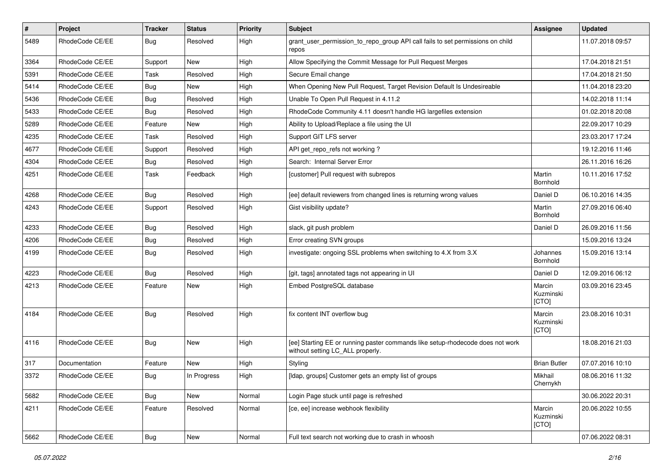| $\sharp$ | Project         | <b>Tracker</b> | <b>Status</b> | <b>Priority</b> | <b>Subject</b>                                                                                                     | <b>Assignee</b>              | <b>Updated</b>   |
|----------|-----------------|----------------|---------------|-----------------|--------------------------------------------------------------------------------------------------------------------|------------------------------|------------------|
| 5489     | RhodeCode CE/EE | Bug            | Resolved      | High            | grant_user_permission_to_repo_group API call fails to set permissions on child<br>repos                            |                              | 11.07.2018 09:57 |
| 3364     | RhodeCode CE/EE | Support        | <b>New</b>    | High            | Allow Specifying the Commit Message for Pull Request Merges                                                        |                              | 17.04.2018 21:51 |
| 5391     | RhodeCode CE/EE | Task           | Resolved      | High            | Secure Email change                                                                                                |                              | 17.04.2018 21:50 |
| 5414     | RhodeCode CE/EE | Bug            | <b>New</b>    | High            | When Opening New Pull Request, Target Revision Default Is Undesireable                                             |                              | 11.04.2018 23:20 |
| 5436     | RhodeCode CE/EE | Bug            | Resolved      | High            | Unable To Open Pull Request in 4.11.2                                                                              |                              | 14.02.2018 11:14 |
| 5433     | RhodeCode CE/EE | Bug            | Resolved      | High            | RhodeCode Community 4.11 doesn't handle HG largefiles extension                                                    |                              | 01.02.2018 20:08 |
| 5289     | RhodeCode CE/EE | Feature        | New           | High            | Ability to Upload/Replace a file using the UI                                                                      |                              | 22.09.2017 10:29 |
| 4235     | RhodeCode CE/EE | Task           | Resolved      | High            | Support GIT LFS server                                                                                             |                              | 23.03.2017 17:24 |
| 4677     | RhodeCode CE/EE | Support        | Resolved      | High            | API get_repo_refs not working?                                                                                     |                              | 19.12.2016 11:46 |
| 4304     | RhodeCode CE/EE | Bug            | Resolved      | High            | Search: Internal Server Error                                                                                      |                              | 26.11.2016 16:26 |
| 4251     | RhodeCode CE/EE | Task           | Feedback      | High            | [customer] Pull request with subrepos                                                                              | Martin<br>Bornhold           | 10.11.2016 17:52 |
| 4268     | RhodeCode CE/EE | Bug            | Resolved      | High            | [ee] default reviewers from changed lines is returning wrong values                                                | Daniel D                     | 06.10.2016 14:35 |
| 4243     | RhodeCode CE/EE | Support        | Resolved      | High            | Gist visibility update?                                                                                            | Martin<br>Bornhold           | 27.09.2016 06:40 |
| 4233     | RhodeCode CE/EE | Bug            | Resolved      | High            | slack, git push problem                                                                                            | Daniel D                     | 26.09.2016 11:56 |
| 4206     | RhodeCode CE/EE | Bug            | Resolved      | High            | Error creating SVN groups                                                                                          |                              | 15.09.2016 13:24 |
| 4199     | RhodeCode CE/EE | Bug            | Resolved      | High            | investigate: ongoing SSL problems when switching to 4.X from 3.X                                                   | Johannes<br>Bornhold         | 15.09.2016 13:14 |
| 4223     | RhodeCode CE/EE | Bug            | Resolved      | High            | [git, tags] annotated tags not appearing in UI                                                                     | Daniel D                     | 12.09.2016 06:12 |
| 4213     | RhodeCode CE/EE | Feature        | New           | High            | Embed PostgreSQL database                                                                                          | Marcin<br>Kuzminski<br>[CTO] | 03.09.2016 23:45 |
| 4184     | RhodeCode CE/EE | Bug            | Resolved      | High            | fix content INT overflow bug                                                                                       | Marcin<br>Kuzminski<br>[CTO] | 23.08.2016 10:31 |
| 4116     | RhodeCode CE/EE | <b>Bug</b>     | <b>New</b>    | High            | [ee] Starting EE or running paster commands like setup-rhodecode does not work<br>without setting LC_ALL properly. |                              | 18.08.2016 21:03 |
| 317      | Documentation   | Feature        | New           | High            | Styling                                                                                                            | <b>Brian Butler</b>          | 07.07.2016 10:10 |
| 3372     | RhodeCode CE/EE | Bug            | In Progress   | High            | [Idap, groups] Customer gets an empty list of groups                                                               | Mikhail<br>Chernykh          | 08.06.2016 11:32 |
| 5682     | RhodeCode CE/EE | Bug            | New           | Normal          | Login Page stuck until page is refreshed                                                                           |                              | 30.06.2022 20:31 |
| 4211     | RhodeCode CE/EE | Feature        | Resolved      | Normal          | [ce, ee] increase webhook flexibility                                                                              | Marcin<br>Kuzminski<br>[CTO] | 20.06.2022 10:55 |
| 5662     | RhodeCode CE/EE | Bug            | New           | Normal          | Full text search not working due to crash in whoosh                                                                |                              | 07.06.2022 08:31 |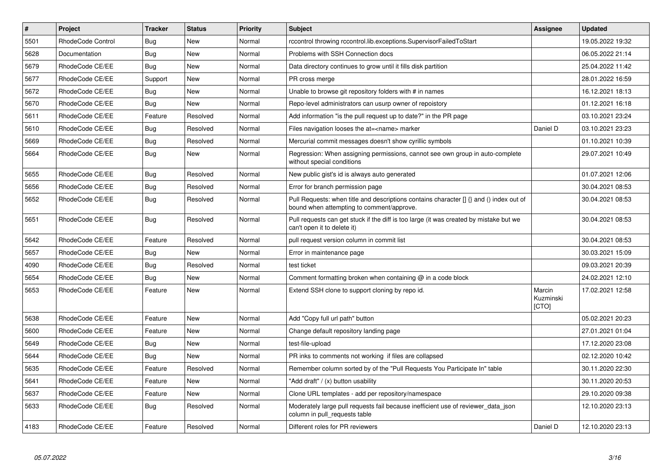| $\sharp$ | <b>Project</b>    | <b>Tracker</b> | <b>Status</b> | <b>Priority</b> | <b>Subject</b>                                                                                                                         | <b>Assignee</b>              | <b>Updated</b>   |
|----------|-------------------|----------------|---------------|-----------------|----------------------------------------------------------------------------------------------------------------------------------------|------------------------------|------------------|
| 5501     | RhodeCode Control | Bug            | New           | Normal          | rccontrol throwing rccontrol.lib.exceptions.SupervisorFailedToStart                                                                    |                              | 19.05.2022 19:32 |
| 5628     | Documentation     | <b>Bug</b>     | New           | Normal          | Problems with SSH Connection docs                                                                                                      |                              | 06.05.2022 21:14 |
| 5679     | RhodeCode CE/EE   | Bug            | New           | Normal          | Data directory continues to grow until it fills disk partition                                                                         |                              | 25.04.2022 11:42 |
| 5677     | RhodeCode CE/EE   | Support        | <b>New</b>    | Normal          | PR cross merge                                                                                                                         |                              | 28.01.2022 16:59 |
| 5672     | RhodeCode CE/EE   | <b>Bug</b>     | <b>New</b>    | Normal          | Unable to browse git repository folders with # in names                                                                                |                              | 16.12.2021 18:13 |
| 5670     | RhodeCode CE/EE   | Bug            | <b>New</b>    | Normal          | Repo-level administrators can usurp owner of repoistory                                                                                |                              | 01.12.2021 16:18 |
| 5611     | RhodeCode CE/EE   | Feature        | Resolved      | Normal          | Add information "is the pull request up to date?" in the PR page                                                                       |                              | 03.10.2021 23:24 |
| 5610     | RhodeCode CE/EE   | Bug            | Resolved      | Normal          | Files navigation looses the at= <name> marker</name>                                                                                   | Daniel D                     | 03.10.2021 23:23 |
| 5669     | RhodeCode CE/EE   | <b>Bug</b>     | Resolved      | Normal          | Mercurial commit messages doesn't show cyrillic symbols                                                                                |                              | 01.10.2021 10:39 |
| 5664     | RhodeCode CE/EE   | Bug            | New           | Normal          | Regression: When assigning permissions, cannot see own group in auto-complete<br>without special conditions                            |                              | 29.07.2021 10:49 |
| 5655     | RhodeCode CE/EE   | <b>Bug</b>     | Resolved      | Normal          | New public gist's id is always auto generated                                                                                          |                              | 01.07.2021 12:06 |
| 5656     | RhodeCode CE/EE   | Bug            | Resolved      | Normal          | Error for branch permission page                                                                                                       |                              | 30.04.2021 08:53 |
| 5652     | RhodeCode CE/EE   | Bug            | Resolved      | Normal          | Pull Requests: when title and descriptions contains character $\iint$ and () index out of<br>bound when attempting to comment/approve. |                              | 30.04.2021 08:53 |
| 5651     | RhodeCode CE/EE   | Bug            | Resolved      | Normal          | Pull requests can get stuck if the diff is too large (it was created by mistake but we<br>can't open it to delete it)                  |                              | 30.04.2021 08:53 |
| 5642     | RhodeCode CE/EE   | Feature        | Resolved      | Normal          | pull request version column in commit list                                                                                             |                              | 30.04.2021 08:53 |
| 5657     | RhodeCode CE/EE   | <b>Bug</b>     | New           | Normal          | Error in maintenance page                                                                                                              |                              | 30.03.2021 15:09 |
| 4090     | RhodeCode CE/EE   | Bug            | Resolved      | Normal          | test ticket                                                                                                                            |                              | 09.03.2021 20:39 |
| 5654     | RhodeCode CE/EE   | <b>Bug</b>     | New           | Normal          | Comment formatting broken when containing $\omega$ in a code block                                                                     |                              | 24.02.2021 12:10 |
| 5653     | RhodeCode CE/EE   | Feature        | <b>New</b>    | Normal          | Extend SSH clone to support cloning by repo id.                                                                                        | Marcin<br>Kuzminski<br>[CTO] | 17.02.2021 12:58 |
| 5638     | RhodeCode CE/EE   | Feature        | <b>New</b>    | Normal          | Add "Copy full url path" button                                                                                                        |                              | 05.02.2021 20:23 |
| 5600     | RhodeCode CE/EE   | Feature        | New           | Normal          | Change default repository landing page                                                                                                 |                              | 27.01.2021 01:04 |
| 5649     | RhodeCode CE/EE   | <b>Bug</b>     | New           | Normal          | test-file-upload                                                                                                                       |                              | 17.12.2020 23:08 |
| 5644     | RhodeCode CE/EE   | Bug            | <b>New</b>    | Normal          | PR inks to comments not working if files are collapsed                                                                                 |                              | 02.12.2020 10:42 |
| 5635     | RhodeCode CE/EE   | Feature        | Resolved      | Normal          | Remember column sorted by of the "Pull Requests You Participate In" table                                                              |                              | 30.11.2020 22:30 |
| 5641     | RhodeCode CE/EE   | Feature        | <b>New</b>    | Normal          | 'Add draft" / (x) button usability                                                                                                     |                              | 30.11.2020 20:53 |
| 5637     | RhodeCode CE/EE   | Feature        | <b>New</b>    | Normal          | Clone URL templates - add per repository/namespace                                                                                     |                              | 29.10.2020 09:38 |
| 5633     | RhodeCode CE/EE   | Bug            | Resolved      | Normal          | Moderately large pull requests fail because inefficient use of reviewer_data_json<br>column in pull requests table                     |                              | 12.10.2020 23:13 |
| 4183     | RhodeCode CE/EE   | Feature        | Resolved      | Normal          | Different roles for PR reviewers                                                                                                       | Daniel D                     | 12.10.2020 23:13 |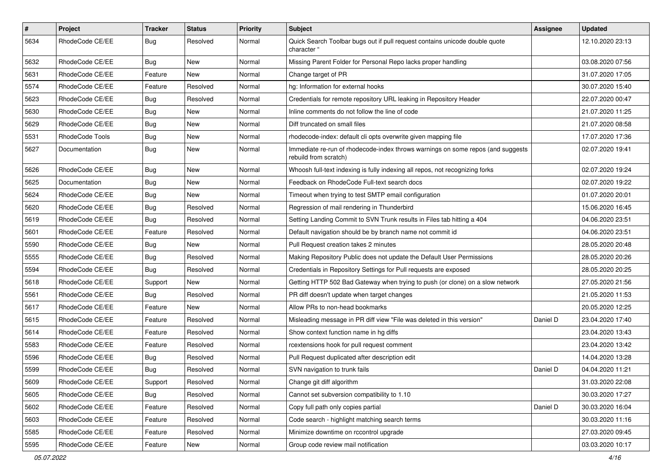| $\vert$ # | Project         | <b>Tracker</b> | <b>Status</b> | <b>Priority</b> | <b>Subject</b>                                                                                           | <b>Assignee</b> | <b>Updated</b>   |
|-----------|-----------------|----------------|---------------|-----------------|----------------------------------------------------------------------------------------------------------|-----------------|------------------|
| 5634      | RhodeCode CE/EE | <b>Bug</b>     | Resolved      | Normal          | Quick Search Toolbar bugs out if pull request contains unicode double quote<br>character "               |                 | 12.10.2020 23:13 |
| 5632      | RhodeCode CE/EE | Bug            | New           | Normal          | Missing Parent Folder for Personal Repo lacks proper handling                                            |                 | 03.08.2020 07:56 |
| 5631      | RhodeCode CE/EE | Feature        | New           | Normal          | Change target of PR                                                                                      |                 | 31.07.2020 17:05 |
| 5574      | RhodeCode CE/EE | Feature        | Resolved      | Normal          | hg: Information for external hooks                                                                       |                 | 30.07.2020 15:40 |
| 5623      | RhodeCode CE/EE | <b>Bug</b>     | Resolved      | Normal          | Credentials for remote repository URL leaking in Repository Header                                       |                 | 22.07.2020 00:47 |
| 5630      | RhodeCode CE/EE | <b>Bug</b>     | New           | Normal          | Inline comments do not follow the line of code                                                           |                 | 21.07.2020 11:25 |
| 5629      | RhodeCode CE/EE | <b>Bug</b>     | New           | Normal          | Diff truncated on small files                                                                            |                 | 21.07.2020 08:58 |
| 5531      | RhodeCode Tools | <b>Bug</b>     | New           | Normal          | rhodecode-index: default cli opts overwrite given mapping file                                           |                 | 17.07.2020 17:36 |
| 5627      | Documentation   | <b>Bug</b>     | New           | Normal          | Immediate re-run of rhodecode-index throws warnings on some repos (and suggests<br>rebuild from scratch) |                 | 02.07.2020 19:41 |
| 5626      | RhodeCode CE/EE | <b>Bug</b>     | New           | Normal          | Whoosh full-text indexing is fully indexing all repos, not recognizing forks                             |                 | 02.07.2020 19:24 |
| 5625      | Documentation   | Bug            | New           | Normal          | Feedback on RhodeCode Full-text search docs                                                              |                 | 02.07.2020 19:22 |
| 5624      | RhodeCode CE/EE | <b>Bug</b>     | New           | Normal          | Timeout when trying to test SMTP email configuration                                                     |                 | 01.07.2020 20:01 |
| 5620      | RhodeCode CE/EE | Bug            | Resolved      | Normal          | Regression of mail rendering in Thunderbird                                                              |                 | 15.06.2020 16:45 |
| 5619      | RhodeCode CE/EE | <b>Bug</b>     | Resolved      | Normal          | Setting Landing Commit to SVN Trunk results in Files tab hitting a 404                                   |                 | 04.06.2020 23:51 |
| 5601      | RhodeCode CE/EE | Feature        | Resolved      | Normal          | Default navigation should be by branch name not commit id                                                |                 | 04.06.2020 23:51 |
| 5590      | RhodeCode CE/EE | <b>Bug</b>     | New           | Normal          | Pull Request creation takes 2 minutes                                                                    |                 | 28.05.2020 20:48 |
| 5555      | RhodeCode CE/EE | <b>Bug</b>     | Resolved      | Normal          | Making Repository Public does not update the Default User Permissions                                    |                 | 28.05.2020 20:26 |
| 5594      | RhodeCode CE/EE | <b>Bug</b>     | Resolved      | Normal          | Credentials in Repository Settings for Pull requests are exposed                                         |                 | 28.05.2020 20:25 |
| 5618      | RhodeCode CE/EE | Support        | New           | Normal          | Getting HTTP 502 Bad Gateway when trying to push (or clone) on a slow network                            |                 | 27.05.2020 21:56 |
| 5561      | RhodeCode CE/EE | <b>Bug</b>     | Resolved      | Normal          | PR diff doesn't update when target changes                                                               |                 | 21.05.2020 11:53 |
| 5617      | RhodeCode CE/EE | Feature        | New           | Normal          | Allow PRs to non-head bookmarks                                                                          |                 | 20.05.2020 12:25 |
| 5615      | RhodeCode CE/EE | Feature        | Resolved      | Normal          | Misleading message in PR diff view "File was deleted in this version"                                    | Daniel D        | 23.04.2020 17:40 |
| 5614      | RhodeCode CE/EE | Feature        | Resolved      | Normal          | Show context function name in hg diffs                                                                   |                 | 23.04.2020 13:43 |
| 5583      | RhodeCode CE/EE | Feature        | Resolved      | Normal          | rcextensions hook for pull request comment                                                               |                 | 23.04.2020 13:42 |
| 5596      | RhodeCode CE/EE | <b>Bug</b>     | Resolved      | Normal          | Pull Request duplicated after description edit                                                           |                 | 14.04.2020 13:28 |
| 5599      | RhodeCode CE/EE | Bug            | Resolved      | Normal          | SVN navigation to trunk fails                                                                            | Daniel D        | 04.04.2020 11:21 |
| 5609      | RhodeCode CE/EE | Support        | Resolved      | Normal          | Change git diff algorithm                                                                                |                 | 31.03.2020 22:08 |
| 5605      | RhodeCode CE/EE | Bug            | Resolved      | Normal          | Cannot set subversion compatibility to 1.10                                                              |                 | 30.03.2020 17:27 |
| 5602      | RhodeCode CE/EE | Feature        | Resolved      | Normal          | Copy full path only copies partial                                                                       | Daniel D        | 30.03.2020 16:04 |
| 5603      | RhodeCode CE/EE | Feature        | Resolved      | Normal          | Code search - highlight matching search terms                                                            |                 | 30.03.2020 11:16 |
| 5585      | RhodeCode CE/EE | Feature        | Resolved      | Normal          | Minimize downtime on rccontrol upgrade                                                                   |                 | 27.03.2020 09:45 |
| 5595      | RhodeCode CE/EE | Feature        | New           | Normal          | Group code review mail notification                                                                      |                 | 03.03.2020 10:17 |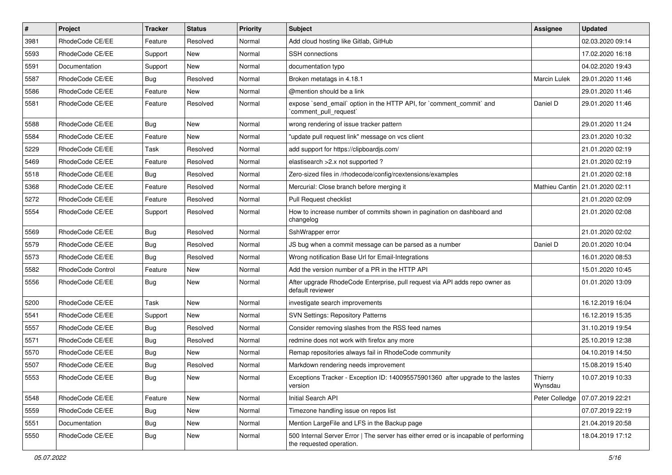| $\#$ | Project           | Tracker    | <b>Status</b> | <b>Priority</b> | Subject                                                                                                           | Assignee            | <b>Updated</b>   |
|------|-------------------|------------|---------------|-----------------|-------------------------------------------------------------------------------------------------------------------|---------------------|------------------|
| 3981 | RhodeCode CE/EE   | Feature    | Resolved      | Normal          | Add cloud hosting like Gitlab, GitHub                                                                             |                     | 02.03.2020 09:14 |
| 5593 | RhodeCode CE/EE   | Support    | <b>New</b>    | Normal          | <b>SSH</b> connections                                                                                            |                     | 17.02.2020 16:18 |
| 5591 | Documentation     | Support    | New           | Normal          | documentation typo                                                                                                |                     | 04.02.2020 19:43 |
| 5587 | RhodeCode CE/EE   | Bug        | Resolved      | Normal          | Broken metatags in 4.18.1                                                                                         | <b>Marcin Lulek</b> | 29.01.2020 11:46 |
| 5586 | RhodeCode CE/EE   | Feature    | <b>New</b>    | Normal          | @mention should be a link                                                                                         |                     | 29.01.2020 11:46 |
| 5581 | RhodeCode CE/EE   | Feature    | Resolved      | Normal          | expose `send email` option in the HTTP API, for `comment commit` and<br>`comment_pull_request`                    | Daniel D            | 29.01.2020 11:46 |
| 5588 | RhodeCode CE/EE   | Bug        | New           | Normal          | wrong rendering of issue tracker pattern                                                                          |                     | 29.01.2020 11:24 |
| 5584 | RhodeCode CE/EE   | Feature    | New           | Normal          | "update pull request link" message on vcs client                                                                  |                     | 23.01.2020 10:32 |
| 5229 | RhodeCode CE/EE   | Task       | Resolved      | Normal          | add support for https://clipboardjs.com/                                                                          |                     | 21.01.2020 02:19 |
| 5469 | RhodeCode CE/EE   | Feature    | Resolved      | Normal          | elastisearch > 2.x not supported ?                                                                                |                     | 21.01.2020 02:19 |
| 5518 | RhodeCode CE/EE   | <b>Bug</b> | Resolved      | Normal          | Zero-sized files in /rhodecode/config/rcextensions/examples                                                       |                     | 21.01.2020 02:18 |
| 5368 | RhodeCode CE/EE   | Feature    | Resolved      | Normal          | Mercurial: Close branch before merging it                                                                         | Mathieu Cantin      | 21.01.2020 02:11 |
| 5272 | RhodeCode CE/EE   | Feature    | Resolved      | Normal          | Pull Request checklist                                                                                            |                     | 21.01.2020 02:09 |
| 5554 | RhodeCode CE/EE   | Support    | Resolved      | Normal          | How to increase number of commits shown in pagination on dashboard and<br>changelog                               |                     | 21.01.2020 02:08 |
| 5569 | RhodeCode CE/EE   | Bug        | Resolved      | Normal          | SshWrapper error                                                                                                  |                     | 21.01.2020 02:02 |
| 5579 | RhodeCode CE/EE   | Bug        | Resolved      | Normal          | JS bug when a commit message can be parsed as a number                                                            | Daniel D            | 20.01.2020 10:04 |
| 5573 | RhodeCode CE/EE   | <b>Bug</b> | Resolved      | Normal          | Wrong notification Base Url for Email-Integrations                                                                |                     | 16.01.2020 08:53 |
| 5582 | RhodeCode Control | Feature    | New           | Normal          | Add the version number of a PR in the HTTP API                                                                    |                     | 15.01.2020 10:45 |
| 5556 | RhodeCode CE/EE   | <b>Bug</b> | New           | Normal          | After upgrade RhodeCode Enterprise, pull request via API adds repo owner as<br>default reviewer                   |                     | 01.01.2020 13:09 |
| 5200 | RhodeCode CE/EE   | Task       | <b>New</b>    | Normal          | investigate search improvements                                                                                   |                     | 16.12.2019 16:04 |
| 5541 | RhodeCode CE/EE   | Support    | New           | Normal          | <b>SVN Settings: Repository Patterns</b>                                                                          |                     | 16.12.2019 15:35 |
| 5557 | RhodeCode CE/EE   | <b>Bug</b> | Resolved      | Normal          | Consider removing slashes from the RSS feed names                                                                 |                     | 31.10.2019 19:54 |
| 5571 | RhodeCode CE/EE   | <b>Bug</b> | Resolved      | Normal          | redmine does not work with firefox any more                                                                       |                     | 25.10.2019 12:38 |
| 5570 | RhodeCode CE/EE   | <b>Bug</b> | New           | Normal          | Remap repositories always fail in RhodeCode community                                                             |                     | 04.10.2019 14:50 |
| 5507 | RhodeCode CE/EE   | <b>Bug</b> | Resolved      | Normal          | Markdown rendering needs improvement                                                                              |                     | 15.08.2019 15:40 |
| 5553 | RhodeCode CE/EE   | <b>Bug</b> | New           | Normal          | Exceptions Tracker - Exception ID: 140095575901360 after upgrade to the lastes<br>version                         | Thierry<br>Wynsdau  | 10.07.2019 10:33 |
| 5548 | RhodeCode CE/EE   | Feature    | New           | Normal          | Initial Search API                                                                                                | Peter Colledge      | 07.07.2019 22:21 |
| 5559 | RhodeCode CE/EE   | <b>Bug</b> | New           | Normal          | Timezone handling issue on repos list                                                                             |                     | 07.07.2019 22:19 |
| 5551 | Documentation     | <b>Bug</b> | New           | Normal          | Mention LargeFile and LFS in the Backup page                                                                      |                     | 21.04.2019 20:58 |
| 5550 | RhodeCode CE/EE   | Bug        | New           | Normal          | 500 Internal Server Error   The server has either erred or is incapable of performing<br>the requested operation. |                     | 18.04.2019 17:12 |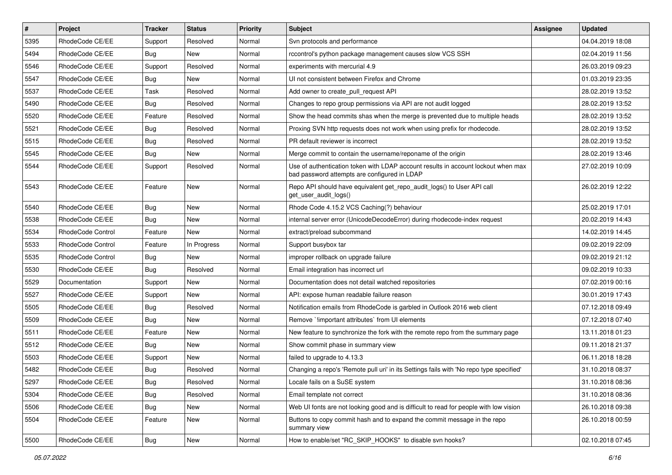| $\vert$ # | Project           | Tracker    | <b>Status</b> | <b>Priority</b> | Subject                                                                                                                           | Assignee | <b>Updated</b>   |
|-----------|-------------------|------------|---------------|-----------------|-----------------------------------------------------------------------------------------------------------------------------------|----------|------------------|
| 5395      | RhodeCode CE/EE   | Support    | Resolved      | Normal          | Svn protocols and performance                                                                                                     |          | 04.04.2019 18:08 |
| 5494      | RhodeCode CE/EE   | <b>Bug</b> | <b>New</b>    | Normal          | rccontrol's python package management causes slow VCS SSH                                                                         |          | 02.04.2019 11:56 |
| 5546      | RhodeCode CE/EE   | Support    | Resolved      | Normal          | experiments with mercurial 4.9                                                                                                    |          | 26.03.2019 09:23 |
| 5547      | RhodeCode CE/EE   | Bug        | New           | Normal          | UI not consistent between Firefox and Chrome                                                                                      |          | 01.03.2019 23:35 |
| 5537      | RhodeCode CE/EE   | Task       | Resolved      | Normal          | Add owner to create_pull_request API                                                                                              |          | 28.02.2019 13:52 |
| 5490      | RhodeCode CE/EE   | <b>Bug</b> | Resolved      | Normal          | Changes to repo group permissions via API are not audit logged                                                                    |          | 28.02.2019 13:52 |
| 5520      | RhodeCode CE/EE   | Feature    | Resolved      | Normal          | Show the head commits shas when the merge is prevented due to multiple heads                                                      |          | 28.02.2019 13:52 |
| 5521      | RhodeCode CE/EE   | <b>Bug</b> | Resolved      | Normal          | Proxing SVN http requests does not work when using prefix for rhodecode.                                                          |          | 28.02.2019 13:52 |
| 5515      | RhodeCode CE/EE   | <b>Bug</b> | Resolved      | Normal          | PR default reviewer is incorrect                                                                                                  |          | 28.02.2019 13:52 |
| 5545      | RhodeCode CE/EE   | <b>Bug</b> | New           | Normal          | Merge commit to contain the username/reponame of the origin                                                                       |          | 28.02.2019 13:46 |
| 5544      | RhodeCode CE/EE   | Support    | Resolved      | Normal          | Use of authentication token with LDAP account results in account lockout when max<br>bad password attempts are configured in LDAP |          | 27.02.2019 10:09 |
| 5543      | RhodeCode CE/EE   | Feature    | <b>New</b>    | Normal          | Repo API should have equivalent get_repo_audit_logs() to User API call<br>get_user_audit_logs()                                   |          | 26.02.2019 12:22 |
| 5540      | RhodeCode CE/EE   | <b>Bug</b> | <b>New</b>    | Normal          | Rhode Code 4.15.2 VCS Caching(?) behaviour                                                                                        |          | 25.02.2019 17:01 |
| 5538      | RhodeCode CE/EE   | <b>Bug</b> | New           | Normal          | internal server error (UnicodeDecodeError) during rhodecode-index request                                                         |          | 20.02.2019 14:43 |
| 5534      | RhodeCode Control | Feature    | New           | Normal          | extract/preload subcommand                                                                                                        |          | 14.02.2019 14:45 |
| 5533      | RhodeCode Control | Feature    | In Progress   | Normal          | Support busybox tar                                                                                                               |          | 09.02.2019 22:09 |
| 5535      | RhodeCode Control | <b>Bug</b> | New           | Normal          | improper rollback on upgrade failure                                                                                              |          | 09.02.2019 21:12 |
| 5530      | RhodeCode CE/EE   | Bug        | Resolved      | Normal          | Email integration has incorrect url                                                                                               |          | 09.02.2019 10:33 |
| 5529      | Documentation     | Support    | New           | Normal          | Documentation does not detail watched repositories                                                                                |          | 07.02.2019 00:16 |
| 5527      | RhodeCode CE/EE   | Support    | New           | Normal          | API: expose human readable failure reason                                                                                         |          | 30.01.2019 17:43 |
| 5505      | RhodeCode CE/EE   | Bug        | Resolved      | Normal          | Notification emails from RhodeCode is garbled in Outlook 2016 web client                                                          |          | 07.12.2018 09:49 |
| 5509      | RhodeCode CE/EE   | Bug        | New           | Normal          | Remove `!important attributes` from UI elements                                                                                   |          | 07.12.2018 07:40 |
| 5511      | RhodeCode CE/EE   | Feature    | New           | Normal          | New feature to synchronize the fork with the remote repo from the summary page                                                    |          | 13.11.2018 01:23 |
| 5512      | RhodeCode CE/EE   | <b>Bug</b> | New           | Normal          | Show commit phase in summary view                                                                                                 |          | 09.11.2018 21:37 |
| 5503      | RhodeCode CE/EE   | Support    | New           | Normal          | failed to upgrade to 4.13.3                                                                                                       |          | 06.11.2018 18:28 |
| 5482      | RhodeCode CE/EE   | <b>Bug</b> | Resolved      | Normal          | Changing a repo's 'Remote pull uri' in its Settings fails with 'No repo type specified'                                           |          | 31.10.2018 08:37 |
| 5297      | RhodeCode CE/EE   | <b>Bug</b> | Resolved      | Normal          | Locale fails on a SuSE system                                                                                                     |          | 31.10.2018 08:36 |
| 5304      | RhodeCode CE/EE   | <b>Bug</b> | Resolved      | Normal          | Email template not correct                                                                                                        |          | 31.10.2018 08:36 |
| 5506      | RhodeCode CE/EE   | Bug        | New           | Normal          | Web UI fonts are not looking good and is difficult to read for people with low vision                                             |          | 26.10.2018 09:38 |
| 5504      | RhodeCode CE/EE   | Feature    | New           | Normal          | Buttons to copy commit hash and to expand the commit message in the repo<br>summary view                                          |          | 26.10.2018 00:59 |
| 5500      | RhodeCode CE/EE   | <b>Bug</b> | New           | Normal          | How to enable/set "RC_SKIP_HOOKS" to disable svn hooks?                                                                           |          | 02.10.2018 07:45 |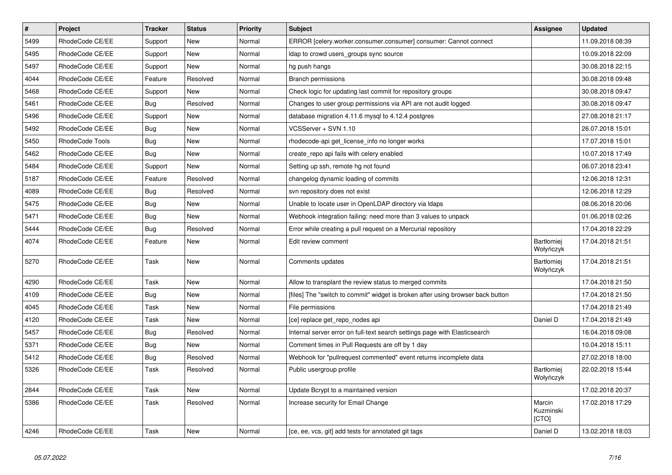| $\overline{\boldsymbol{H}}$ | Project         | <b>Tracker</b> | <b>Status</b> | <b>Priority</b> | <b>Subject</b>                                                                  | <b>Assignee</b>                | <b>Updated</b>   |
|-----------------------------|-----------------|----------------|---------------|-----------------|---------------------------------------------------------------------------------|--------------------------------|------------------|
| 5499                        | RhodeCode CE/EE | Support        | New           | Normal          | ERROR [celery.worker.consumer.consumer] consumer: Cannot connect                |                                | 11.09.2018 08:39 |
| 5495                        | RhodeCode CE/EE | Support        | <b>New</b>    | Normal          | Idap to crowd users groups sync source                                          |                                | 10.09.2018 22:09 |
| 5497                        | RhodeCode CE/EE | Support        | <b>New</b>    | Normal          | hg push hangs                                                                   |                                | 30.08.2018 22:15 |
| 4044                        | RhodeCode CE/EE | Feature        | Resolved      | Normal          | <b>Branch permissions</b>                                                       |                                | 30.08.2018 09:48 |
| 5468                        | RhodeCode CE/EE | Support        | <b>New</b>    | Normal          | Check logic for updating last commit for repository groups                      |                                | 30.08.2018 09:47 |
| 5461                        | RhodeCode CE/EE | Bug            | Resolved      | Normal          | Changes to user group permissions via API are not audit logged                  |                                | 30.08.2018 09:47 |
| 5496                        | RhodeCode CE/EE | Support        | <b>New</b>    | Normal          | database migration 4.11.6 mysql to 4.12.4 postgres                              |                                | 27.08.2018 21:17 |
| 5492                        | RhodeCode CE/EE | Bug            | New           | Normal          | VCSServer + SVN 1.10                                                            |                                | 26.07.2018 15:01 |
| 5450                        | RhodeCode Tools | Bug            | <b>New</b>    | Normal          | rhodecode-api get license info no longer works                                  |                                | 17.07.2018 15:01 |
| 5462                        | RhodeCode CE/EE | Bug            | <b>New</b>    | Normal          | create repo api fails with celery enabled                                       |                                | 10.07.2018 17:49 |
| 5484                        | RhodeCode CE/EE | Support        | <b>New</b>    | Normal          | Setting up ssh, remote hg not found                                             |                                | 06.07.2018 23:41 |
| 5187                        | RhodeCode CE/EE | Feature        | Resolved      | Normal          | changelog dynamic loading of commits                                            |                                | 12.06.2018 12:31 |
| 4089                        | RhodeCode CE/EE | <b>Bug</b>     | Resolved      | Normal          | svn repository does not exist                                                   |                                | 12.06.2018 12:29 |
| 5475                        | RhodeCode CE/EE | Bug            | <b>New</b>    | Normal          | Unable to locate user in OpenLDAP directory via Idaps                           |                                | 08.06.2018 20:06 |
| 5471                        | RhodeCode CE/EE | Bug            | New           | Normal          | Webhook integration failing: need more than 3 values to unpack                  |                                | 01.06.2018 02:26 |
| 5444                        | RhodeCode CE/EE | Bug            | Resolved      | Normal          | Error while creating a pull request on a Mercurial repository                   |                                | 17.04.2018 22:29 |
| 4074                        | RhodeCode CE/EE | Feature        | <b>New</b>    | Normal          | Edit review comment                                                             | <b>Bartłomiej</b><br>Wołyńczyk | 17.04.2018 21:51 |
| 5270                        | RhodeCode CE/EE | Task           | New           | Normal          | Comments updates                                                                | Bartłomiej<br>Wołyńczyk        | 17.04.2018 21:51 |
| 4290                        | RhodeCode CE/EE | Task           | <b>New</b>    | Normal          | Allow to transplant the review status to merged commits                         |                                | 17.04.2018 21:50 |
| 4109                        | RhodeCode CE/EE | Bug            | New           | Normal          | [files] The "switch to commit" widget is broken after using browser back button |                                | 17.04.2018 21:50 |
| 4045                        | RhodeCode CE/EE | Task           | <b>New</b>    | Normal          | File permissions                                                                |                                | 17.04.2018 21:49 |
| 4120                        | RhodeCode CE/EE | Task           | New           | Normal          | [ce] replace get_repo_nodes api                                                 | Daniel D                       | 17.04.2018 21:49 |
| 5457                        | RhodeCode CE/EE | <b>Bug</b>     | Resolved      | Normal          | Internal server error on full-text search settings page with Elasticsearch      |                                | 16.04.2018 09:08 |
| 5371                        | RhodeCode CE/EE | Bug            | New           | Normal          | Comment times in Pull Requests are off by 1 day                                 |                                | 10.04.2018 15:11 |
| 5412                        | RhodeCode CE/EE | Bug            | Resolved      | Normal          | Webhook for "pullrequest commented" event returns incomplete data               |                                | 27.02.2018 18:00 |
| 5326                        | RhodeCode CE/EE | Task           | Resolved      | Normal          | Public usergroup profile                                                        | Bartłomiej<br>Wołyńczyk        | 22.02.2018 15:44 |
| 2844                        | RhodeCode CE/EE | Task           | New           | Normal          | Update Bcrypt to a maintained version                                           |                                | 17.02.2018 20:37 |
| 5386                        | RhodeCode CE/EE | Task           | Resolved      | Normal          | Increase security for Email Change                                              | Marcin<br>Kuzminski<br>[CTO]   | 17.02.2018 17:29 |
| 4246                        | RhodeCode CE/EE | Task           | <b>New</b>    | Normal          | [ce, ee, vcs, git] add tests for annotated git tags                             | Daniel D                       | 13.02.2018 18:03 |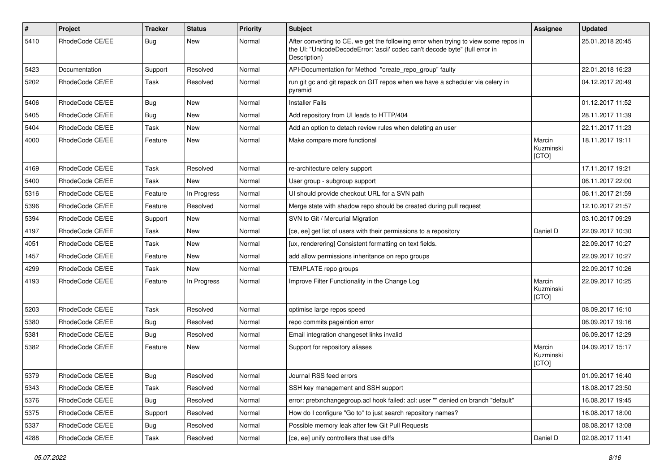| #    | Project         | <b>Tracker</b> | <b>Status</b> | <b>Priority</b> | Subject                                                                                                                                                                              | Assignee                     | <b>Updated</b>   |
|------|-----------------|----------------|---------------|-----------------|--------------------------------------------------------------------------------------------------------------------------------------------------------------------------------------|------------------------------|------------------|
| 5410 | RhodeCode CE/EE | Bug            | New           | Normal          | After converting to CE, we get the following error when trying to view some repos in<br>the UI: "UnicodeDecodeError: 'ascii' codec can't decode byte" (full error in<br>Description) |                              | 25.01.2018 20:45 |
| 5423 | Documentation   | Support        | Resolved      | Normal          | API-Documentation for Method "create_repo_group" faulty                                                                                                                              |                              | 22.01.2018 16:23 |
| 5202 | RhodeCode CE/EE | Task           | Resolved      | Normal          | run git gc and git repack on GIT repos when we have a scheduler via celery in<br>pyramid                                                                                             |                              | 04.12.2017 20:49 |
| 5406 | RhodeCode CE/EE | Bug            | <b>New</b>    | Normal          | <b>Installer Fails</b>                                                                                                                                                               |                              | 01.12.2017 11:52 |
| 5405 | RhodeCode CE/EE | Bug            | <b>New</b>    | Normal          | Add repository from UI leads to HTTP/404                                                                                                                                             |                              | 28.11.2017 11:39 |
| 5404 | RhodeCode CE/EE | Task           | <b>New</b>    | Normal          | Add an option to detach review rules when deleting an user                                                                                                                           |                              | 22.11.2017 11:23 |
| 4000 | RhodeCode CE/EE | Feature        | <b>New</b>    | Normal          | Make compare more functional                                                                                                                                                         | Marcin<br>Kuzminski<br>[CTO] | 18.11.2017 19:11 |
| 4169 | RhodeCode CE/EE | Task           | Resolved      | Normal          | re-architecture celery support                                                                                                                                                       |                              | 17.11.2017 19:21 |
| 5400 | RhodeCode CE/EE | Task           | New           | Normal          | User group - subgroup support                                                                                                                                                        |                              | 06.11.2017 22:00 |
| 5316 | RhodeCode CE/EE | Feature        | In Progress   | Normal          | UI should provide checkout URL for a SVN path                                                                                                                                        |                              | 06.11.2017 21:59 |
| 5396 | RhodeCode CE/EE | Feature        | Resolved      | Normal          | Merge state with shadow repo should be created during pull request                                                                                                                   |                              | 12.10.2017 21:57 |
| 5394 | RhodeCode CE/EE | Support        | New           | Normal          | SVN to Git / Mercurial Migration                                                                                                                                                     |                              | 03.10.2017 09:29 |
| 4197 | RhodeCode CE/EE | Task           | <b>New</b>    | Normal          | [ce, ee] get list of users with their permissions to a repository                                                                                                                    | Daniel D                     | 22.09.2017 10:30 |
| 4051 | RhodeCode CE/EE | Task           | New           | Normal          | [ux, renderering] Consistent formatting on text fields.                                                                                                                              |                              | 22.09.2017 10:27 |
| 1457 | RhodeCode CE/EE | Feature        | <b>New</b>    | Normal          | add allow permissions inheritance on repo groups                                                                                                                                     |                              | 22.09.2017 10:27 |
| 4299 | RhodeCode CE/EE | Task           | <b>New</b>    | Normal          | TEMPLATE repo groups                                                                                                                                                                 |                              | 22.09.2017 10:26 |
| 4193 | RhodeCode CE/EE | Feature        | In Progress   | Normal          | Improve Filter Functionality in the Change Log                                                                                                                                       | Marcin<br>Kuzminski<br>[CTO] | 22.09.2017 10:25 |
| 5203 | RhodeCode CE/EE | Task           | Resolved      | Normal          | optimise large repos speed                                                                                                                                                           |                              | 08.09.2017 16:10 |
| 5380 | RhodeCode CE/EE | Bug            | Resolved      | Normal          | repo commits pageintion error                                                                                                                                                        |                              | 06.09.2017 19:16 |
| 5381 | RhodeCode CE/EE | Bug            | Resolved      | Normal          | Email integration changeset links invalid                                                                                                                                            |                              | 06.09.2017 12:29 |
| 5382 | RhodeCode CE/EE | Feature        | New           | Normal          | Support for repository aliases                                                                                                                                                       | Marcin<br>Kuzminski<br>[CTO] | 04.09.2017 15:17 |
| 5379 | RhodeCode CE/EE | Bug            | Resolved      | Normal          | Journal RSS feed errors                                                                                                                                                              |                              | 01.09.2017 16:40 |
| 5343 | RhodeCode CE/EE | Task           | Resolved      | Normal          | SSH key management and SSH support                                                                                                                                                   |                              | 18.08.2017 23:50 |
| 5376 | RhodeCode CE/EE | <b>Bug</b>     | Resolved      | Normal          | error: pretxnchangegroup.acl hook failed: acl: user "" denied on branch "default"                                                                                                    |                              | 16.08.2017 19:45 |
| 5375 | RhodeCode CE/EE | Support        | Resolved      | Normal          | How do I configure "Go to" to just search repository names?                                                                                                                          |                              | 16.08.2017 18:00 |
| 5337 | RhodeCode CE/EE | <b>Bug</b>     | Resolved      | Normal          | Possible memory leak after few Git Pull Requests                                                                                                                                     |                              | 08.08.2017 13:08 |
| 4288 | RhodeCode CE/EE | Task           | Resolved      | Normal          | [ce, ee] unify controllers that use diffs                                                                                                                                            | Daniel D                     | 02.08.2017 11:41 |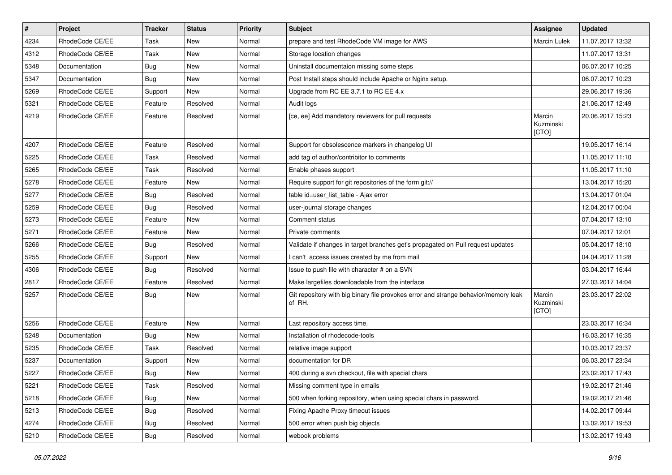| $\sharp$ | Project         | <b>Tracker</b> | <b>Status</b> | Priority | <b>Subject</b>                                                                                | <b>Assignee</b>              | <b>Updated</b>   |
|----------|-----------------|----------------|---------------|----------|-----------------------------------------------------------------------------------------------|------------------------------|------------------|
| 4234     | RhodeCode CE/EE | Task           | New           | Normal   | prepare and test RhodeCode VM image for AWS                                                   | Marcin Lulek                 | 11.07.2017 13:32 |
| 4312     | RhodeCode CE/EE | Task           | <b>New</b>    | Normal   | Storage location changes                                                                      |                              | 11.07.2017 13:31 |
| 5348     | Documentation   | Bug            | New           | Normal   | Uninstall documentaion missing some steps                                                     |                              | 06.07.2017 10:25 |
| 5347     | Documentation   | Bug            | <b>New</b>    | Normal   | Post Install steps should include Apache or Nginx setup.                                      |                              | 06.07.2017 10:23 |
| 5269     | RhodeCode CE/EE | Support        | <b>New</b>    | Normal   | Upgrade from RC EE 3.7.1 to RC EE 4.x                                                         |                              | 29.06.2017 19:36 |
| 5321     | RhodeCode CE/EE | Feature        | Resolved      | Normal   | Audit logs                                                                                    |                              | 21.06.2017 12:49 |
| 4219     | RhodeCode CE/EE | Feature        | Resolved      | Normal   | [ce, ee] Add mandatory reviewers for pull requests                                            | Marcin<br>Kuzminski<br>[CTO] | 20.06.2017 15:23 |
| 4207     | RhodeCode CE/EE | Feature        | Resolved      | Normal   | Support for obsolescence markers in changelog UI                                              |                              | 19.05.2017 16:14 |
| 5225     | RhodeCode CE/EE | Task           | Resolved      | Normal   | add tag of author/contribitor to comments                                                     |                              | 11.05.2017 11:10 |
| 5265     | RhodeCode CE/EE | Task           | Resolved      | Normal   | Enable phases support                                                                         |                              | 11.05.2017 11:10 |
| 5278     | RhodeCode CE/EE | Feature        | <b>New</b>    | Normal   | Require support for git repositories of the form git://                                       |                              | 13.04.2017 15:20 |
| 5277     | RhodeCode CE/EE | Bug            | Resolved      | Normal   | table id=user list table - Ajax error                                                         |                              | 13.04.2017 01:04 |
| 5259     | RhodeCode CE/EE | Bug            | Resolved      | Normal   | user-journal storage changes                                                                  |                              | 12.04.2017 00:04 |
| 5273     | RhodeCode CE/EE | Feature        | <b>New</b>    | Normal   | Comment status                                                                                |                              | 07.04.2017 13:10 |
| 5271     | RhodeCode CE/EE | Feature        | <b>New</b>    | Normal   | Private comments                                                                              |                              | 07.04.2017 12:01 |
| 5266     | RhodeCode CE/EE | Bug            | Resolved      | Normal   | Validate if changes in target branches get's propagated on Pull request updates               |                              | 05.04.2017 18:10 |
| 5255     | RhodeCode CE/EE | Support        | New           | Normal   | I can't access issues created by me from mail                                                 |                              | 04.04.2017 11:28 |
| 4306     | RhodeCode CE/EE | Bug            | Resolved      | Normal   | Issue to push file with character # on a SVN                                                  |                              | 03.04.2017 16:44 |
| 2817     | RhodeCode CE/EE | Feature        | Resolved      | Normal   | Make largefiles downloadable from the interface                                               |                              | 27.03.2017 14:04 |
| 5257     | RhodeCode CE/EE | Bug            | New           | Normal   | Git repository with big binary file provokes error and strange behavior/memory leak<br>of RH. | Marcin<br>Kuzminski<br>[CTO] | 23.03.2017 22:02 |
| 5256     | RhodeCode CE/EE | Feature        | <b>New</b>    | Normal   | Last repository access time.                                                                  |                              | 23.03.2017 16:34 |
| 5248     | Documentation   | Bug            | <b>New</b>    | Normal   | Installation of rhodecode-tools                                                               |                              | 16.03.2017 16:35 |
| 5235     | RhodeCode CE/EE | Task           | Resolved      | Normal   | relative image support                                                                        |                              | 10.03.2017 23:37 |
| 5237     | Documentation   | Support        | New           | Normal   | documentation for DR                                                                          |                              | 06.03.2017 23:34 |
| 5227     | RhodeCode CE/EE | <b>Bug</b>     | <b>New</b>    | Normal   | 400 during a svn checkout, file with special chars                                            |                              | 23.02.2017 17:43 |
| 5221     | RhodeCode CE/EE | Task           | Resolved      | Normal   | Missing comment type in emails                                                                |                              | 19.02.2017 21:46 |
| 5218     | RhodeCode CE/EE | <b>Bug</b>     | New           | Normal   | 500 when forking repository, when using special chars in password.                            |                              | 19.02.2017 21:46 |
| 5213     | RhodeCode CE/EE | <b>Bug</b>     | Resolved      | Normal   | Fixing Apache Proxy timeout issues                                                            |                              | 14.02.2017 09:44 |
| 4274     | RhodeCode CE/EE | <b>Bug</b>     | Resolved      | Normal   | 500 error when push big objects                                                               |                              | 13.02.2017 19:53 |
| 5210     | RhodeCode CE/EE | <b>Bug</b>     | Resolved      | Normal   | webook problems                                                                               |                              | 13.02.2017 19:43 |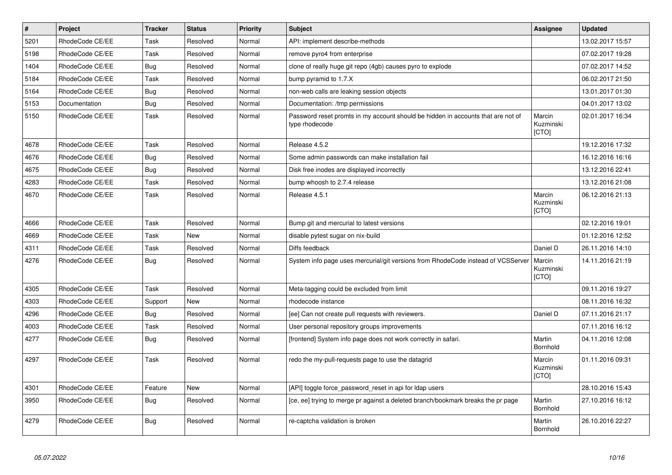| $\vert$ # | <b>Project</b>  | <b>Tracker</b> | <b>Status</b> | Priority | Subject                                                                                            | <b>Assignee</b>              | <b>Updated</b>   |
|-----------|-----------------|----------------|---------------|----------|----------------------------------------------------------------------------------------------------|------------------------------|------------------|
| 5201      | RhodeCode CE/EE | Task           | Resolved      | Normal   | API: implement describe-methods                                                                    |                              | 13.02.2017 15:57 |
| 5198      | RhodeCode CE/EE | Task           | Resolved      | Normal   | remove pyro4 from enterprise                                                                       |                              | 07.02.2017 19:28 |
| 1404      | RhodeCode CE/EE | Bug            | Resolved      | Normal   | clone of really huge git repo (4gb) causes pyro to explode                                         |                              | 07.02.2017 14:52 |
| 5184      | RhodeCode CE/EE | Task           | Resolved      | Normal   | bump pyramid to 1.7.X                                                                              |                              | 06.02.2017 21:50 |
| 5164      | RhodeCode CE/EE | Bug            | Resolved      | Normal   | non-web calls are leaking session objects                                                          |                              | 13.01.2017 01:30 |
| 5153      | Documentation   | Bug            | Resolved      | Normal   | Documentation: /tmp permissions                                                                    |                              | 04.01.2017 13:02 |
| 5150      | RhodeCode CE/EE | Task           | Resolved      | Normal   | Password reset promts in my account should be hidden in accounts that are not of<br>type rhodecode | Marcin<br>Kuzminski<br>[CTO] | 02.01.2017 16:34 |
| 4678      | RhodeCode CE/EE | Task           | Resolved      | Normal   | Release 4.5.2                                                                                      |                              | 19.12.2016 17:32 |
| 4676      | RhodeCode CE/EE | <b>Bug</b>     | Resolved      | Normal   | Some admin passwords can make installation fail                                                    |                              | 16.12.2016 16:16 |
| 4675      | RhodeCode CE/EE | <b>Bug</b>     | Resolved      | Normal   | Disk free inodes are displayed incorrectly                                                         |                              | 13.12.2016 22:41 |
| 4283      | RhodeCode CE/EE | Task           | Resolved      | Normal   | bump whoosh to 2.7.4 release                                                                       |                              | 13.12.2016 21:08 |
| 4670      | RhodeCode CE/EE | Task           | Resolved      | Normal   | Release 4.5.1                                                                                      | Marcin<br>Kuzminski<br>[CTO] | 06.12.2016 21:13 |
| 4666      | RhodeCode CE/EE | Task           | Resolved      | Normal   | Bump git and mercurial to latest versions                                                          |                              | 02.12.2016 19:01 |
| 4669      | RhodeCode CE/EE | Task           | <b>New</b>    | Normal   | disable pytest sugar on nix-build                                                                  |                              | 01.12.2016 12:52 |
| 4311      | RhodeCode CE/EE | Task           | Resolved      | Normal   | Diffs feedback                                                                                     | Daniel D                     | 26.11.2016 14:10 |
| 4276      | RhodeCode CE/EE | Bug            | Resolved      | Normal   | System info page uses mercurial/git versions from RhodeCode instead of VCSServer                   | Marcin<br>Kuzminski<br>[CTO] | 14.11.2016 21:19 |
| 4305      | RhodeCode CE/EE | Task           | Resolved      | Normal   | Meta-tagging could be excluded from limit                                                          |                              | 09.11.2016 19:27 |
| 4303      | RhodeCode CE/EE | Support        | <b>New</b>    | Normal   | rhodecode instance                                                                                 |                              | 08.11.2016 16:32 |
| 4296      | RhodeCode CE/EE | <b>Bug</b>     | Resolved      | Normal   | [ee] Can not create pull requests with reviewers.                                                  | Daniel D                     | 07.11.2016 21:17 |
| 4003      | RhodeCode CE/EE | Task           | Resolved      | Normal   | User personal repository groups improvements                                                       |                              | 07.11.2016 16:12 |
| 4277      | RhodeCode CE/EE | Bug            | Resolved      | Normal   | [frontend] System info page does not work correctly in safari.                                     | Martin<br>Bornhold           | 04.11.2016 12:08 |
| 4297      | RhodeCode CE/EE | Task           | Resolved      | Normal   | redo the my-pull-requests page to use the datagrid                                                 | Marcin<br>Kuzminski<br>[CTO] | 01.11.2016 09:31 |
| 4301      | RhodeCode CE/EE | Feature        | <b>New</b>    | Normal   | [API] toggle force_password_reset in api for Idap users                                            |                              | 28.10.2016 15:43 |
| 3950      | RhodeCode CE/EE | Bug            | Resolved      | Normal   | [ce, ee] trying to merge pr against a deleted branch/bookmark breaks the pr page                   | Martin<br>Bornhold           | 27.10.2016 16:12 |
| 4279      | RhodeCode CE/EE | <b>Bug</b>     | Resolved      | Normal   | re-captcha validation is broken                                                                    | Martin<br>Bornhold           | 26.10.2016 22:27 |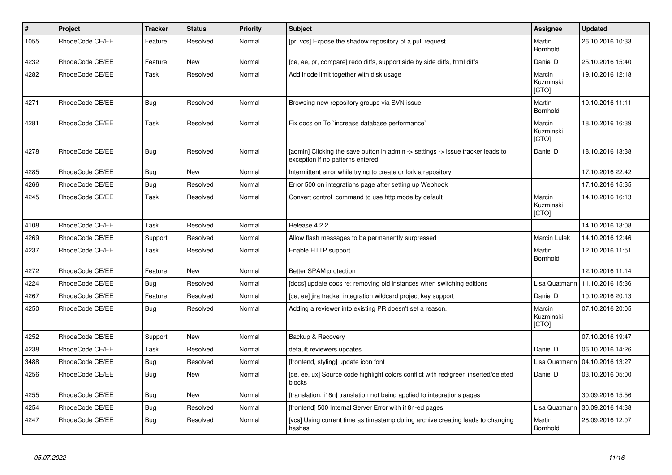| $\pmb{\#}$ | Project         | <b>Tracker</b> | <b>Status</b> | <b>Priority</b> | <b>Subject</b>                                                                                                       | Assignee                            | <b>Updated</b>   |
|------------|-----------------|----------------|---------------|-----------------|----------------------------------------------------------------------------------------------------------------------|-------------------------------------|------------------|
| 1055       | RhodeCode CE/EE | Feature        | Resolved      | Normal          | [pr, vcs] Expose the shadow repository of a pull request                                                             | Martin<br><b>Bornhold</b>           | 26.10.2016 10:33 |
| 4232       | RhodeCode CE/EE | Feature        | New           | Normal          | [ce, ee, pr, compare] redo diffs, support side by side diffs, html diffs                                             | Daniel D                            | 25.10.2016 15:40 |
| 4282       | RhodeCode CE/EE | Task           | Resolved      | Normal          | Add inode limit together with disk usage                                                                             | Marcin<br>Kuzminski<br>[CTO]        | 19.10.2016 12:18 |
| 4271       | RhodeCode CE/EE | <b>Bug</b>     | Resolved      | Normal          | Browsing new repository groups via SVN issue                                                                         | Martin<br>Bornhold                  | 19.10.2016 11:11 |
| 4281       | RhodeCode CE/EE | Task           | Resolved      | Normal          | Fix docs on To `increase database performance`                                                                       | Marcin<br>Kuzminski<br><b>[CTO]</b> | 18.10.2016 16:39 |
| 4278       | RhodeCode CE/EE | Bug            | Resolved      | Normal          | [admin] Clicking the save button in admin -> settings -> issue tracker leads to<br>exception if no patterns entered. | Daniel D                            | 18.10.2016 13:38 |
| 4285       | RhodeCode CE/EE | Bug            | New           | Normal          | Intermittent error while trying to create or fork a repository                                                       |                                     | 17.10.2016 22:42 |
| 4266       | RhodeCode CE/EE | <b>Bug</b>     | Resolved      | Normal          | Error 500 on integrations page after setting up Webhook                                                              |                                     | 17.10.2016 15:35 |
| 4245       | RhodeCode CE/EE | Task           | Resolved      | Normal          | Convert control command to use http mode by default                                                                  | Marcin<br>Kuzminski<br>[CTO]        | 14.10.2016 16:13 |
| 4108       | RhodeCode CE/EE | Task           | Resolved      | Normal          | Release 4.2.2                                                                                                        |                                     | 14.10.2016 13:08 |
| 4269       | RhodeCode CE/EE | Support        | Resolved      | Normal          | Allow flash messages to be permanently surpressed                                                                    | <b>Marcin Lulek</b>                 | 14.10.2016 12:46 |
| 4237       | RhodeCode CE/EE | Task           | Resolved      | Normal          | Enable HTTP support                                                                                                  | Martin<br><b>Bornhold</b>           | 12.10.2016 11:51 |
| 4272       | RhodeCode CE/EE | Feature        | New           | Normal          | Better SPAM protection                                                                                               |                                     | 12.10.2016 11:14 |
| 4224       | RhodeCode CE/EE | <b>Bug</b>     | Resolved      | Normal          | [docs] update docs re: removing old instances when switching editions                                                | Lisa Quatmann                       | 11.10.2016 15:36 |
| 4267       | RhodeCode CE/EE | Feature        | Resolved      | Normal          | [ce, ee] jira tracker integration wildcard project key support                                                       | Daniel D                            | 10.10.2016 20:13 |
| 4250       | RhodeCode CE/EE | Bug            | Resolved      | Normal          | Adding a reviewer into existing PR doesn't set a reason.                                                             | Marcin<br>Kuzminski<br>[CTO]        | 07.10.2016 20:05 |
| 4252       | RhodeCode CE/EE | Support        | <b>New</b>    | Normal          | Backup & Recovery                                                                                                    |                                     | 07.10.2016 19:47 |
| 4238       | RhodeCode CE/EE | Task           | Resolved      | Normal          | default reviewers updates                                                                                            | Daniel D                            | 06.10.2016 14:26 |
| 3488       | RhodeCode CE/EE | Bug            | Resolved      | Normal          | [frontend, styling] update icon font                                                                                 | Lisa Quatmann                       | 04.10.2016 13:27 |
| 4256       | RhodeCode CE/EE | <b>Bug</b>     | New           | Normal          | [ce, ee, ux] Source code highlight colors conflict with red/green inserted/deleted<br>blocks                         | Daniel D                            | 03.10.2016 05:00 |
| 4255       | RhodeCode CE/EE | Bug            | <b>New</b>    | Normal          | [translation, i18n] translation not being applied to integrations pages                                              |                                     | 30.09.2016 15:56 |
| 4254       | RhodeCode CE/EE | Bug            | Resolved      | Normal          | [frontend] 500 Internal Server Error with i18n-ed pages                                                              | Lisa Quatmann                       | 30.09.2016 14:38 |
| 4247       | RhodeCode CE/EE | Bug            | Resolved      | Normal          | [vcs] Using current time as timestamp during archive creating leads to changing<br>hashes                            | Martin<br>Bornhold                  | 28.09.2016 12:07 |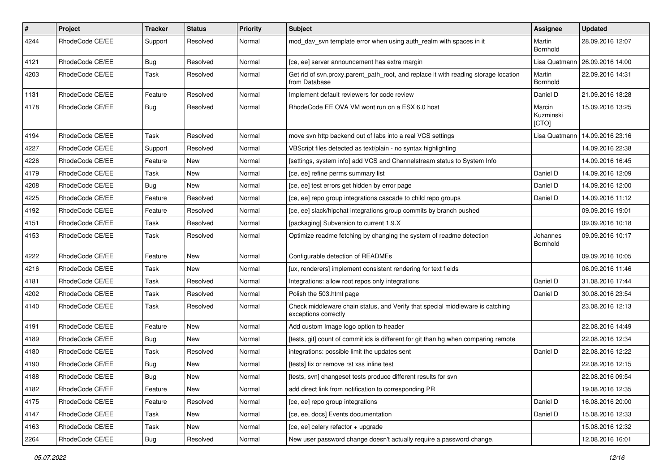| $\pmb{\#}$ | <b>Project</b>  | <b>Tracker</b> | <b>Status</b> | <b>Priority</b> | <b>Subject</b>                                                                                        | Assignee                     | <b>Updated</b>   |
|------------|-----------------|----------------|---------------|-----------------|-------------------------------------------------------------------------------------------------------|------------------------------|------------------|
| 4244       | RhodeCode CE/EE | Support        | Resolved      | Normal          | mod_dav_svn template error when using auth_realm with spaces in it                                    | Martin<br>Bornhold           | 28.09.2016 12:07 |
| 4121       | RhodeCode CE/EE | Bug            | Resolved      | Normal          | [ce, ee] server announcement has extra margin                                                         | Lisa Quatmann                | 26.09.2016 14:00 |
| 4203       | RhodeCode CE/EE | Task           | Resolved      | Normal          | Get rid of svn.proxy.parent_path_root, and replace it with reading storage location<br>from Database  | Martin<br>Bornhold           | 22.09.2016 14:31 |
| 1131       | RhodeCode CE/EE | Feature        | Resolved      | Normal          | Implement default reviewers for code review                                                           | Daniel D                     | 21.09.2016 18:28 |
| 4178       | RhodeCode CE/EE | Bug            | Resolved      | Normal          | RhodeCode EE OVA VM wont run on a ESX 6.0 host                                                        | Marcin<br>Kuzminski<br>[CTO] | 15.09.2016 13:25 |
| 4194       | RhodeCode CE/EE | Task           | Resolved      | Normal          | move svn http backend out of labs into a real VCS settings                                            | Lisa Quatmann                | 14.09.2016 23:16 |
| 4227       | RhodeCode CE/EE | Support        | Resolved      | Normal          | VBScript files detected as text/plain - no syntax highlighting                                        |                              | 14.09.2016 22:38 |
| 4226       | RhodeCode CE/EE | Feature        | <b>New</b>    | Normal          | [settings, system info] add VCS and Channelstream status to System Info                               |                              | 14.09.2016 16:45 |
| 4179       | RhodeCode CE/EE | Task           | <b>New</b>    | Normal          | [ce, ee] refine perms summary list                                                                    | Daniel D                     | 14.09.2016 12:09 |
| 4208       | RhodeCode CE/EE | Bug            | New           | Normal          | [ce, ee] test errors get hidden by error page                                                         | Daniel D                     | 14.09.2016 12:00 |
| 4225       | RhodeCode CE/EE | Feature        | Resolved      | Normal          | [ce, ee] repo group integrations cascade to child repo groups                                         | Daniel D                     | 14.09.2016 11:12 |
| 4192       | RhodeCode CE/EE | Feature        | Resolved      | Normal          | [ce, ee] slack/hipchat integrations group commits by branch pushed                                    |                              | 09.09.2016 19:01 |
| 4151       | RhodeCode CE/EE | Task           | Resolved      | Normal          | [packaging] Subversion to current 1.9.X                                                               |                              | 09.09.2016 10:18 |
| 4153       | RhodeCode CE/EE | Task           | Resolved      | Normal          | Optimize readme fetching by changing the system of readme detection                                   | Johannes<br>Bornhold         | 09.09.2016 10:17 |
| 4222       | RhodeCode CE/EE | Feature        | <b>New</b>    | Normal          | Configurable detection of READMEs                                                                     |                              | 09.09.2016 10:05 |
| 4216       | RhodeCode CE/EE | Task           | New           | Normal          | [ux, renderers] implement consistent rendering for text fields                                        |                              | 06.09.2016 11:46 |
| 4181       | RhodeCode CE/EE | Task           | Resolved      | Normal          | Integrations: allow root repos only integrations                                                      | Daniel D                     | 31.08.2016 17:44 |
| 4202       | RhodeCode CE/EE | Task           | Resolved      | Normal          | Polish the 503.html page                                                                              | Daniel D                     | 30.08.2016 23:54 |
| 4140       | RhodeCode CE/EE | Task           | Resolved      | Normal          | Check middleware chain status, and Verify that special middleware is catching<br>exceptions correctly |                              | 23.08.2016 12:13 |
| 4191       | RhodeCode CE/EE | Feature        | <b>New</b>    | Normal          | Add custom Image logo option to header                                                                |                              | 22.08.2016 14:49 |
| 4189       | RhodeCode CE/EE | Bug            | New           | Normal          | Itests, git] count of commit ids is different for git than hg when comparing remote                   |                              | 22.08.2016 12:34 |
| 4180       | RhodeCode CE/EE | Task           | Resolved      | Normal          | integrations: possible limit the updates sent                                                         | Daniel D                     | 22.08.2016 12:22 |
| 4190       | RhodeCode CE/EE | Bug            | New           | Normal          | [tests] fix or remove rst xss inline test                                                             |                              | 22.08.2016 12:15 |
| 4188       | RhodeCode CE/EE | Bug            | New           | Normal          | [tests, svn] changeset tests produce different results for svn                                        |                              | 22.08.2016 09:54 |
| 4182       | RhodeCode CE/EE | Feature        | New           | Normal          | add direct link from notification to corresponding PR                                                 |                              | 19.08.2016 12:35 |
| 4175       | RhodeCode CE/EE | Feature        | Resolved      | Normal          | [ce, ee] repo group integrations                                                                      | Daniel D                     | 16.08.2016 20:00 |
| 4147       | RhodeCode CE/EE | Task           | New           | Normal          | [ce, ee, docs] Events documentation                                                                   | Daniel D                     | 15.08.2016 12:33 |
| 4163       | RhodeCode CE/EE | Task           | New           | Normal          | [ce, ee] celery refactor + upgrade                                                                    |                              | 15.08.2016 12:32 |
| 2264       | RhodeCode CE/EE | Bug            | Resolved      | Normal          | New user password change doesn't actually require a password change.                                  |                              | 12.08.2016 16:01 |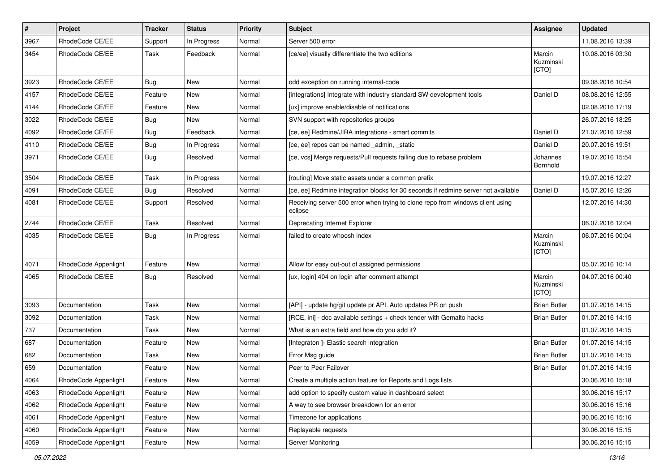| $\pmb{\#}$ | Project              | <b>Tracker</b> | <b>Status</b> | <b>Priority</b> | Subject                                                                                   | Assignee                     | <b>Updated</b>   |
|------------|----------------------|----------------|---------------|-----------------|-------------------------------------------------------------------------------------------|------------------------------|------------------|
| 3967       | RhodeCode CE/EE      | Support        | In Progress   | Normal          | Server 500 error                                                                          |                              | 11.08.2016 13:39 |
| 3454       | RhodeCode CE/EE      | Task           | Feedback      | Normal          | [ce/ee] visually differentiate the two editions                                           | Marcin<br>Kuzminski<br>[CTO] | 10.08.2016 03:30 |
| 3923       | RhodeCode CE/EE      | Bug            | <b>New</b>    | Normal          | odd exception on running internal-code                                                    |                              | 09.08.2016 10:54 |
| 4157       | RhodeCode CE/EE      | Feature        | New           | Normal          | [integrations] Integrate with industry standard SW development tools                      | Daniel D                     | 08.08.2016 12:55 |
| 4144       | RhodeCode CE/EE      | Feature        | New           | Normal          | [ux] improve enable/disable of notifications                                              |                              | 02.08.2016 17:19 |
| 3022       | RhodeCode CE/EE      | Bug            | <b>New</b>    | Normal          | SVN support with repositories groups                                                      |                              | 26.07.2016 18:25 |
| 4092       | RhodeCode CE/EE      | <b>Bug</b>     | Feedback      | Normal          | [ce, ee] Redmine/JIRA integrations - smart commits                                        | Daniel D                     | 21.07.2016 12:59 |
| 4110       | RhodeCode CE/EE      | <b>Bug</b>     | In Progress   | Normal          | [ce, ee] repos can be named _admin, _static                                               | Daniel D                     | 20.07.2016 19:51 |
| 3971       | RhodeCode CE/EE      | Bug            | Resolved      | Normal          | [ce, vcs] Merge requests/Pull requests failing due to rebase problem                      | Johannes<br>Bornhold         | 19.07.2016 15:54 |
| 3504       | RhodeCode CE/EE      | Task           | In Progress   | Normal          | [routing] Move static assets under a common prefix                                        |                              | 19.07.2016 12:27 |
| 4091       | RhodeCode CE/EE      | Bug            | Resolved      | Normal          | [ce, ee] Redmine integration blocks for 30 seconds if redmine server not available        | Daniel D                     | 15.07.2016 12:26 |
| 4081       | RhodeCode CE/EE      | Support        | Resolved      | Normal          | Receiving server 500 error when trying to clone repo from windows client using<br>eclipse |                              | 12.07.2016 14:30 |
| 2744       | RhodeCode CE/EE      | Task           | Resolved      | Normal          | Deprecating Internet Explorer                                                             |                              | 06.07.2016 12:04 |
| 4035       | RhodeCode CE/EE      | Bug            | In Progress   | Normal          | failed to create whoosh index                                                             | Marcin<br>Kuzminski<br>[CTO] | 06.07.2016 00:04 |
| 4071       | RhodeCode Appenlight | Feature        | New           | Normal          | Allow for easy out-out of assigned permissions                                            |                              | 05.07.2016 10:14 |
| 4065       | RhodeCode CE/EE      | Bug            | Resolved      | Normal          | [ux, login] 404 on login after comment attempt                                            | Marcin<br>Kuzminski<br>[CTO] | 04.07.2016 00:40 |
| 3093       | Documentation        | Task           | New           | Normal          | [API] - update hg/git update pr API. Auto updates PR on push                              | <b>Brian Butler</b>          | 01.07.2016 14:15 |
| 3092       | Documentation        | Task           | New           | Normal          | [RCE, ini] - doc available settings + check tender with Gemalto hacks                     | <b>Brian Butler</b>          | 01.07.2016 14:15 |
| 737        | Documentation        | Task           | <b>New</b>    | Normal          | What is an extra field and how do you add it?                                             |                              | 01.07.2016 14:15 |
| 687        | Documentation        | Feature        | New           | Normal          | [Integraton ]- Elastic search integration                                                 | <b>Brian Butler</b>          | 01.07.2016 14:15 |
| 682        | Documentation        | Task           | <b>New</b>    | Normal          | Error Msg guide                                                                           | <b>Brian Butler</b>          | 01.07.2016 14:15 |
| 659        | Documentation        | Feature        | New           | Normal          | Peer to Peer Failover                                                                     | <b>Brian Butler</b>          | 01.07.2016 14:15 |
| 4064       | RhodeCode Appenlight | Feature        | New           | Normal          | Create a multiple action feature for Reports and Logs lists                               |                              | 30.06.2016 15:18 |
| 4063       | RhodeCode Appenlight | Feature        | New           | Normal          | add option to specify custom value in dashboard select                                    |                              | 30.06.2016 15:17 |
| 4062       | RhodeCode Appenlight | Feature        | New           | Normal          | A way to see browser breakdown for an error                                               |                              | 30.06.2016 15:16 |
| 4061       | RhodeCode Appenlight | Feature        | New           | Normal          | Timezone for applications                                                                 |                              | 30.06.2016 15:16 |
| 4060       | RhodeCode Appenlight | Feature        | New           | Normal          | Replayable requests                                                                       |                              | 30.06.2016 15:15 |
| 4059       | RhodeCode Appenlight | Feature        | New           | Normal          | Server Monitoring                                                                         |                              | 30.06.2016 15:15 |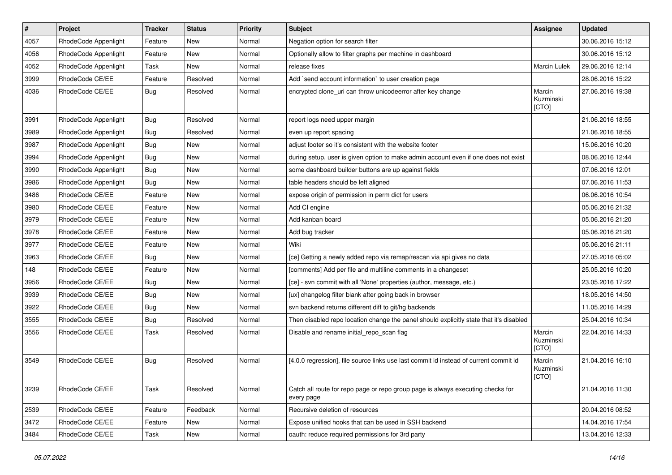| $\vert$ # | Project              | <b>Tracker</b> | <b>Status</b> | <b>Priority</b> | <b>Subject</b>                                                                                | Assignee                     | <b>Updated</b>   |
|-----------|----------------------|----------------|---------------|-----------------|-----------------------------------------------------------------------------------------------|------------------------------|------------------|
| 4057      | RhodeCode Appenlight | Feature        | New           | Normal          | Negation option for search filter                                                             |                              | 30.06.2016 15:12 |
| 4056      | RhodeCode Appenlight | Feature        | <b>New</b>    | Normal          | Optionally allow to filter graphs per machine in dashboard                                    |                              | 30.06.2016 15:12 |
| 4052      | RhodeCode Appenlight | Task           | New           | Normal          | release fixes                                                                                 | Marcin Lulek                 | 29.06.2016 12:14 |
| 3999      | RhodeCode CE/EE      | Feature        | Resolved      | Normal          | Add `send account information` to user creation page                                          |                              | 28.06.2016 15:22 |
| 4036      | RhodeCode CE/EE      | Bug            | Resolved      | Normal          | encrypted clone_uri can throw unicodeerror after key change                                   | Marcin<br>Kuzminski<br>[CTO] | 27.06.2016 19:38 |
| 3991      | RhodeCode Appenlight | Bug            | Resolved      | Normal          | report logs need upper margin                                                                 |                              | 21.06.2016 18:55 |
| 3989      | RhodeCode Appenlight | <b>Bug</b>     | Resolved      | Normal          | even up report spacing                                                                        |                              | 21.06.2016 18:55 |
| 3987      | RhodeCode Appenlight | <b>Bug</b>     | New           | Normal          | adjust footer so it's consistent with the website footer                                      |                              | 15.06.2016 10:20 |
| 3994      | RhodeCode Appenlight | Bug            | New           | Normal          | during setup, user is given option to make admin account even if one does not exist           |                              | 08.06.2016 12:44 |
| 3990      | RhodeCode Appenlight | Bug            | New           | Normal          | some dashboard builder buttons are up against fields                                          |                              | 07.06.2016 12:01 |
| 3986      | RhodeCode Appenlight | Bug            | <b>New</b>    | Normal          | table headers should be left aligned                                                          |                              | 07.06.2016 11:53 |
| 3486      | RhodeCode CE/EE      | Feature        | New           | Normal          | expose origin of permission in perm dict for users                                            |                              | 06.06.2016 10:54 |
| 3980      | RhodeCode CE/EE      | Feature        | <b>New</b>    | Normal          | Add CI engine                                                                                 |                              | 05.06.2016 21:32 |
| 3979      | RhodeCode CE/EE      | Feature        | New           | Normal          | Add kanban board                                                                              |                              | 05.06.2016 21:20 |
| 3978      | RhodeCode CE/EE      | Feature        | New           | Normal          | Add bug tracker                                                                               |                              | 05.06.2016 21:20 |
| 3977      | RhodeCode CE/EE      | Feature        | <b>New</b>    | Normal          | Wiki                                                                                          |                              | 05.06.2016 21:11 |
| 3963      | RhodeCode CE/EE      | Bug            | New           | Normal          | [ce] Getting a newly added repo via remap/rescan via api gives no data                        |                              | 27.05.2016 05:02 |
| 148       | RhodeCode CE/EE      | Feature        | New           | Normal          | [comments] Add per file and multiline comments in a changeset                                 |                              | 25.05.2016 10:20 |
| 3956      | RhodeCode CE/EE      | Bug            | New           | Normal          | [ce] - svn commit with all 'None' properties (author, message, etc.)                          |                              | 23.05.2016 17:22 |
| 3939      | RhodeCode CE/EE      | <b>Bug</b>     | New           | Normal          | [ux] changelog filter blank after going back in browser                                       |                              | 18.05.2016 14:50 |
| 3922      | RhodeCode CE/EE      | <b>Bug</b>     | New           | Normal          | svn backend returns different diff to git/hg backends                                         |                              | 11.05.2016 14:29 |
| 3555      | RhodeCode CE/EE      | <b>Bug</b>     | Resolved      | Normal          | Then disabled repo location change the panel should explicitly state that it's disabled       |                              | 25.04.2016 10:34 |
| 3556      | RhodeCode CE/EE      | Task           | Resolved      | Normal          | Disable and rename initial_repo_scan flag                                                     | Marcin<br>Kuzminski<br>[CTO] | 22.04.2016 14:33 |
| 3549      | RhodeCode CE/EE      | Bug            | Resolved      | Normal          | [4.0.0 regression], file source links use last commit id instead of current commit id         | Marcin<br>Kuzminski<br>[CTO] | 21.04.2016 16:10 |
| 3239      | RhodeCode CE/EE      | Task           | Resolved      | Normal          | Catch all route for repo page or repo group page is always executing checks for<br>every page |                              | 21.04.2016 11:30 |
| 2539      | RhodeCode CE/EE      | Feature        | Feedback      | Normal          | Recursive deletion of resources                                                               |                              | 20.04.2016 08:52 |
| 3472      | RhodeCode CE/EE      | Feature        | New           | Normal          | Expose unified hooks that can be used in SSH backend                                          |                              | 14.04.2016 17:54 |
| 3484      | RhodeCode CE/EE      | Task           | New           | Normal          | oauth: reduce required permissions for 3rd party                                              |                              | 13.04.2016 12:33 |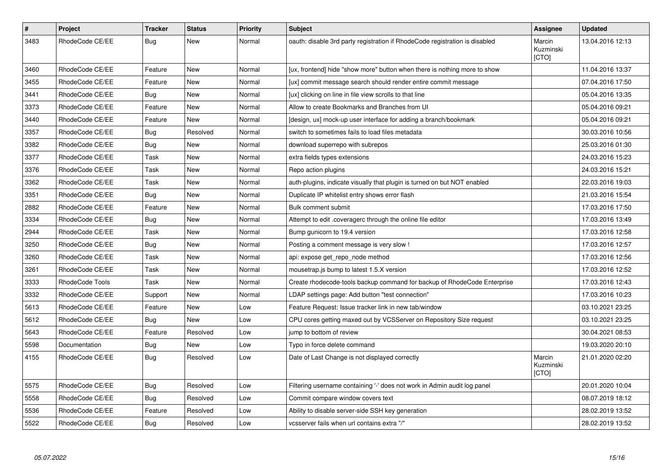| $\pmb{\#}$ | Project                | <b>Tracker</b> | <b>Status</b> | <b>Priority</b> | <b>Subject</b>                                                              | Assignee                     | <b>Updated</b>   |
|------------|------------------------|----------------|---------------|-----------------|-----------------------------------------------------------------------------|------------------------------|------------------|
| 3483       | RhodeCode CE/EE        | Bug            | New           | Normal          | oauth: disable 3rd party registration if RhodeCode registration is disabled | Marcin<br>Kuzminski<br>[CTO] | 13.04.2016 12:13 |
| 3460       | RhodeCode CE/EE        | Feature        | New           | Normal          | [ux, frontend] hide "show more" button when there is nothing more to show   |                              | 11.04.2016 13:37 |
| 3455       | RhodeCode CE/EE        | Feature        | <b>New</b>    | Normal          | [ux] commit message search should render entire commit message              |                              | 07.04.2016 17:50 |
| 3441       | RhodeCode CE/EE        | Bug            | <b>New</b>    | Normal          | [ux] clicking on line in file view scrolls to that line                     |                              | 05.04.2016 13:35 |
| 3373       | RhodeCode CE/EE        | Feature        | <b>New</b>    | Normal          | Allow to create Bookmarks and Branches from UI                              |                              | 05.04.2016 09:21 |
| 3440       | RhodeCode CE/EE        | Feature        | <b>New</b>    | Normal          | [design, ux] mock-up user interface for adding a branch/bookmark            |                              | 05.04.2016 09:21 |
| 3357       | RhodeCode CE/EE        | Bug            | Resolved      | Normal          | switch to sometimes fails to load files metadata                            |                              | 30.03.2016 10:56 |
| 3382       | RhodeCode CE/EE        | Bug            | New           | Normal          | download superrepo with subrepos                                            |                              | 25.03.2016 01:30 |
| 3377       | RhodeCode CE/EE        | Task           | <b>New</b>    | Normal          | extra fields types extensions                                               |                              | 24.03.2016 15:23 |
| 3376       | RhodeCode CE/EE        | Task           | New           | Normal          | Repo action plugins                                                         |                              | 24.03.2016 15:21 |
| 3362       | RhodeCode CE/EE        | Task           | <b>New</b>    | Normal          | auth-plugins, indicate visually that plugin is turned on but NOT enabled    |                              | 22.03.2016 19:03 |
| 3351       | RhodeCode CE/EE        | Bug            | <b>New</b>    | Normal          | Duplicate IP whitelist entry shows error flash                              |                              | 21.03.2016 15:54 |
| 2882       | RhodeCode CE/EE        | Feature        | <b>New</b>    | Normal          | Bulk comment submit                                                         |                              | 17.03.2016 17:50 |
| 3334       | RhodeCode CE/EE        | Bug            | New           | Normal          | Attempt to edit .coveragerc through the online file editor                  |                              | 17.03.2016 13:49 |
| 2944       | RhodeCode CE/EE        | Task           | New           | Normal          | Bump gunicorn to 19.4 version                                               |                              | 17.03.2016 12:58 |
| 3250       | RhodeCode CE/EE        | Bug            | New           | Normal          | Posting a comment message is very slow !                                    |                              | 17.03.2016 12:57 |
| 3260       | RhodeCode CE/EE        | Task           | New           | Normal          | api: expose get repo node method                                            |                              | 17.03.2016 12:56 |
| 3261       | RhodeCode CE/EE        | Task           | <b>New</b>    | Normal          | mousetrap.js bump to latest 1.5.X version                                   |                              | 17.03.2016 12:52 |
| 3333       | <b>RhodeCode Tools</b> | Task           | New           | Normal          | Create rhodecode-tools backup command for backup of RhodeCode Enterprise    |                              | 17.03.2016 12:43 |
| 3332       | RhodeCode CE/EE        | Support        | <b>New</b>    | Normal          | LDAP settings page: Add button "test connection"                            |                              | 17.03.2016 10:23 |
| 5613       | RhodeCode CE/EE        | Feature        | New           | Low             | Feature Request: Issue tracker link in new tab/window                       |                              | 03.10.2021 23:25 |
| 5612       | RhodeCode CE/EE        | Bug            | <b>New</b>    | Low             | CPU cores getting maxed out by VCSServer on Repository Size request         |                              | 03.10.2021 23:25 |
| 5643       | RhodeCode CE/EE        | Feature        | Resolved      | Low             | jump to bottom of review                                                    |                              | 30.04.2021 08:53 |
| 5598       | Documentation          | Bug            | New           | Low             | Typo in force delete command                                                |                              | 19.03.2020 20:10 |
| 4155       | RhodeCode CE/EE        | Bug            | Resolved      | Low             | Date of Last Change is not displayed correctly                              | Marcin<br>Kuzminski<br>[CTO] | 21.01.2020 02:20 |
| 5575       | RhodeCode CE/EE        | <b>Bug</b>     | Resolved      | Low             | Filtering username containing '-' does not work in Admin audit log panel    |                              | 20.01.2020 10:04 |
| 5558       | RhodeCode CE/EE        | Bug            | Resolved      | Low             | Commit compare window covers text                                           |                              | 08.07.2019 18:12 |
| 5536       | RhodeCode CE/EE        | Feature        | Resolved      | Low             | Ability to disable server-side SSH key generation                           |                              | 28.02.2019 13:52 |
| 5522       | RhodeCode CE/EE        | Bug            | Resolved      | Low             | vcsserver fails when url contains extra "/"                                 |                              | 28.02.2019 13:52 |